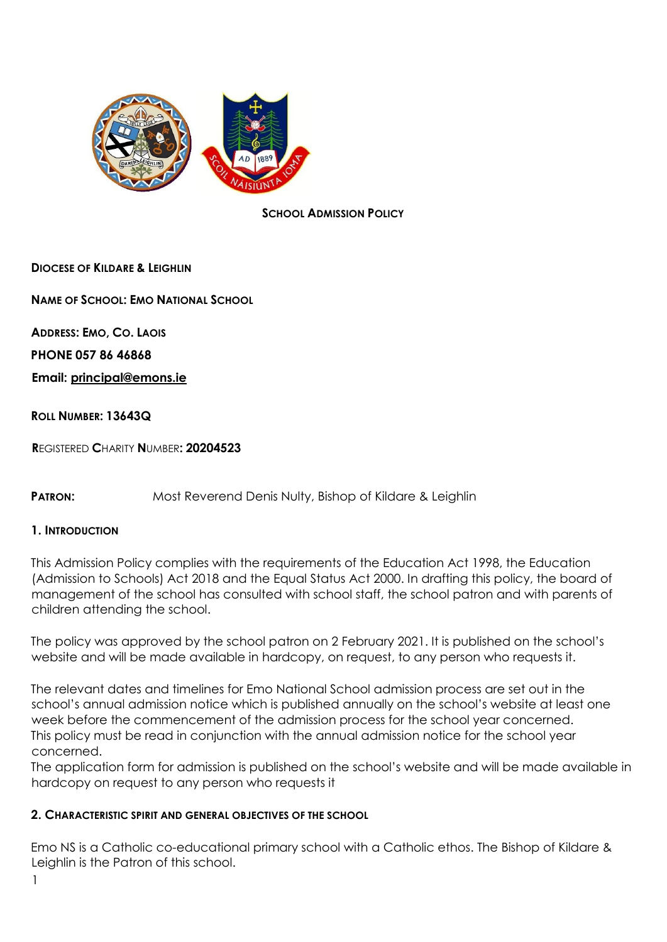

#### **SCHOOL ADMISSION POLICY**

### **DIOCESE OF KILDARE & LEIGHLIN**

**NAME OF SCHOOL: EMO NATIONAL SCHOOL**

**ADDRESS: EMO, CO. LAOIS PHONE 057 86 46868** 

**Email: principal@emons.ie**

#### **ROLL NUMBER: 13643Q**

**R**EGISTERED **C**HARITY **N**UMBER**: 20204523** 

**PATRON:** Most Reverend Denis Nulty, Bishop of Kildare & Leighlin

#### **1. INTRODUCTION**

This Admission Policy complies with the requirements of the Education Act 1998, the Education (Admission to Schools) Act 2018 and the Equal Status Act 2000. In drafting this policy, the board of management of the school has consulted with school staff, the school patron and with parents of children attending the school.

The policy was approved by the school patron on 2 February 2021. It is published on the school's website and will be made available in hardcopy, on request, to any person who requests it.

The relevant dates and timelines for Emo National School admission process are set out in the school's annual admission notice which is published annually on the school's website at least one week before the commencement of the admission process for the school year concerned. This policy must be read in conjunction with the annual admission notice for the school year concerned.

The application form for admission is published on the school's website and will be made available in hardcopy on request to any person who requests it

#### **2. CHARACTERISTIC SPIRIT AND GENERAL OBJECTIVES OF THE SCHOOL**

Emo NS is a Catholic co-educational primary school with a Catholic ethos. The Bishop of Kildare & Leighlin is the Patron of this school.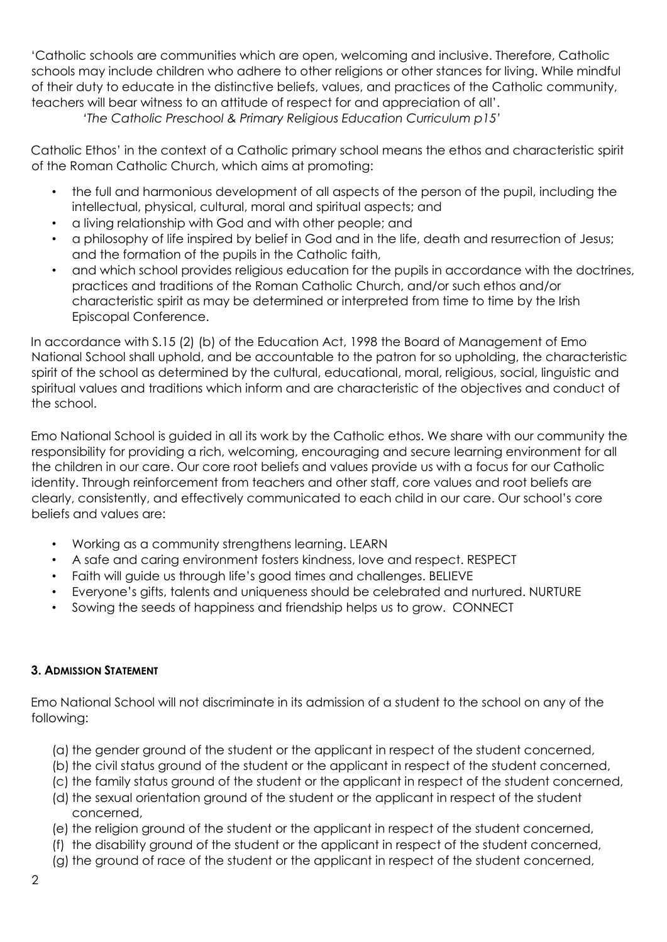'Catholic schools are communities which are open, welcoming and inclusive. Therefore, Catholic schools may include children who adhere to other religions or other stances for living. While mindful of their duty to educate in the distinctive beliefs, values, and practices of the Catholic community, teachers will bear witness to an attitude of respect for and appreciation of all'.

 *'The Catholic Preschool & Primary Religious Education Curriculum p15'* 

Catholic Ethos' in the context of a Catholic primary school means the ethos and characteristic spirit of the Roman Catholic Church, which aims at promoting:

- the full and harmonious development of all aspects of the person of the pupil, including the intellectual, physical, cultural, moral and spiritual aspects; and
- a living relationship with God and with other people; and
- a philosophy of life inspired by belief in God and in the life, death and resurrection of Jesus; and the formation of the pupils in the Catholic faith,
- and which school provides religious education for the pupils in accordance with the doctrines, practices and traditions of the Roman Catholic Church, and/or such ethos and/or characteristic spirit as may be determined or interpreted from time to time by the Irish Episcopal Conference.

In accordance with S.15 (2) (b) of the Education Act, 1998 the Board of Management of Emo National School shall uphold, and be accountable to the patron for so upholding, the characteristic spirit of the school as determined by the cultural, educational, moral, religious, social, linguistic and spiritual values and traditions which inform and are characteristic of the objectives and conduct of the school.

Emo National School is guided in all its work by the Catholic ethos. We share with our community the responsibility for providing a rich, welcoming, encouraging and secure learning environment for all the children in our care. Our core root beliefs and values provide us with a focus for our Catholic identity. Through reinforcement from teachers and other staff, core values and root beliefs are clearly, consistently, and effectively communicated to each child in our care. Our school's core beliefs and values are:

- Working as a community strengthens learning. LEARN
- A safe and caring environment fosters kindness, love and respect. RESPECT
- Faith will guide us through life's good times and challenges. BELIEVE
- Everyone's gifts, talents and uniqueness should be celebrated and nurtured. NURTURE
- Sowing the seeds of happiness and friendship helps us to grow. CONNECT

# **3. ADMISSION STATEMENT**

Emo National School will not discriminate in its admission of a student to the school on any of the following:

- (a) the gender ground of the student or the applicant in respect of the student concerned,
- (b) the civil status ground of the student or the applicant in respect of the student concerned,
- (c) the family status ground of the student or the applicant in respect of the student concerned,
- (d) the sexual orientation ground of the student or the applicant in respect of the student concerned,
- (e) the religion ground of the student or the applicant in respect of the student concerned,
- (f) the disability ground of the student or the applicant in respect of the student concerned,
- (g) the ground of race of the student or the applicant in respect of the student concerned,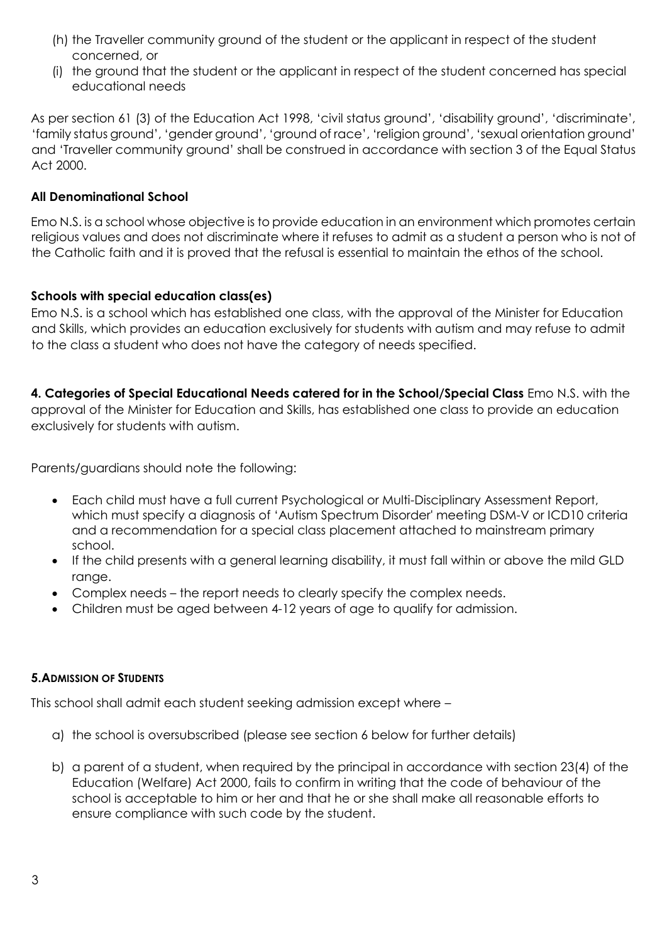- (h) the Traveller community ground of the student or the applicant in respect of the student concerned, or
- (i) the ground that the student or the applicant in respect of the student concerned has special educational needs

As per section 61 (3) of the Education Act 1998, 'civil status ground', 'disability ground', 'discriminate', 'family status ground', 'gender ground', 'ground of race', 'religion ground', 'sexual orientation ground' and 'Traveller community ground' shall be construed in accordance with section 3 of the Equal Status Act 2000.

### **All Denominational School**

Emo N.S. is a school whose objective is to provide education in an environment which promotes certain religious values and does not discriminate where it refuses to admit as a student a person who is not of the Catholic faith and it is proved that the refusal is essential to maintain the ethos of the school.

### **Schools with special education class(es)**

Emo N.S. is a school which has established one class, with the approval of the Minister for Education and Skills, which provides an education exclusively for students with autism and may refuse to admit to the class a student who does not have the category of needs specified.

**4. Categories of Special Educational Needs catered for in the School/Special Class** Emo N.S. with the approval of the Minister for Education and Skills, has established one class to provide an education exclusively for students with autism.

Parents/guardians should note the following:

- Each child must have a full current Psychological or Multi-Disciplinary Assessment Report, which must specify a diagnosis of 'Autism Spectrum Disorder' meeting DSM-V or ICD10 criteria and a recommendation for a special class placement attached to mainstream primary school.
- If the child presents with a general learning disability, it must fall within or above the mild GLD range.
- Complex needs the report needs to clearly specify the complex needs.
- Children must be aged between 4-12 years of age to qualify for admission.

# **5.ADMISSION OF STUDENTS**

This school shall admit each student seeking admission except where –

- a) the school is oversubscribed (please see section 6 below for further details)
- b) a parent of a student, when required by the principal in accordance with section 23(4) of the Education (Welfare) Act 2000, fails to confirm in writing that the code of behaviour of the school is acceptable to him or her and that he or she shall make all reasonable efforts to ensure compliance with such code by the student.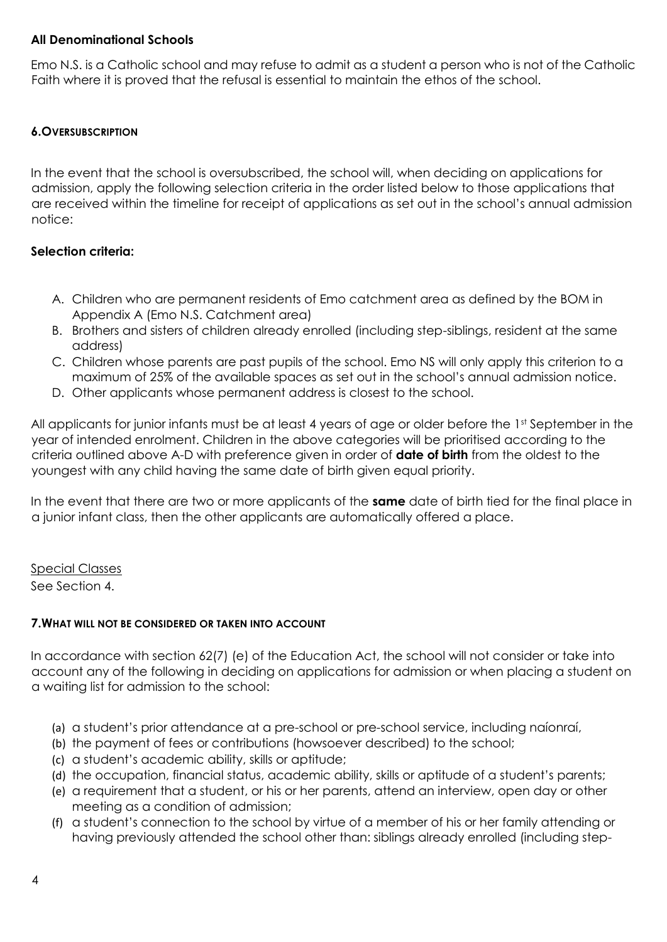### **All Denominational Schools**

Emo N.S. is a Catholic school and may refuse to admit as a student a person who is not of the Catholic Faith where it is proved that the refusal is essential to maintain the ethos of the school.

# **6.OVERSUBSCRIPTION**

In the event that the school is oversubscribed, the school will, when deciding on applications for admission, apply the following selection criteria in the order listed below to those applications that are received within the timeline for receipt of applications as set out in the school's annual admission notice:

# **Selection criteria:**

- A. Children who are permanent residents of Emo catchment area as defined by the BOM in Appendix A (Emo N.S. Catchment area)
- B. Brothers and sisters of children already enrolled (including step-siblings, resident at the same address)
- C. Children whose parents are past pupils of the school. Emo NS will only apply this criterion to a maximum of 25% of the available spaces as set out in the school's annual admission notice.
- D. Other applicants whose permanent address is closest to the school.

All applicants for junior infants must be at least 4 years of age or older before the 1st September in the year of intended enrolment. Children in the above categories will be prioritised according to the criteria outlined above A-D with preference given in order of **date of birth** from the oldest to the youngest with any child having the same date of birth given equal priority.

In the event that there are two or more applicants of the **same** date of birth tied for the final place in a junior infant class, then the other applicants are automatically offered a place.

Special Classes See Section 4.

# **7.WHAT WILL NOT BE CONSIDERED OR TAKEN INTO ACCOUNT**

In accordance with section 62(7) (e) of the Education Act, the school will not consider or take into account any of the following in deciding on applications for admission or when placing a student on a waiting list for admission to the school:

- (a) a student's prior attendance at a pre-school or pre-school service, including naíonraí,
- (b) the payment of fees or contributions (howsoever described) to the school;
- (c) a student's academic ability, skills or aptitude;
- (d) the occupation, financial status, academic ability, skills or aptitude of a student's parents;
- (e) a requirement that a student, or his or her parents, attend an interview, open day or other meeting as a condition of admission;
- (f) a student's connection to the school by virtue of a member of his or her family attending or having previously attended the school other than: siblings already enrolled (including step-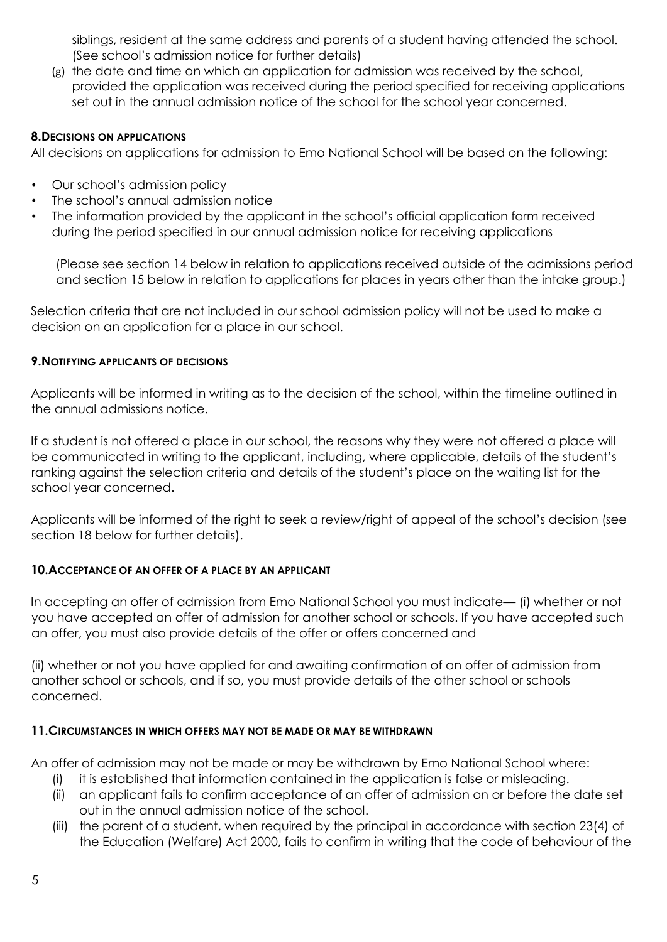siblings, resident at the same address and parents of a student having attended the school. (See school's admission notice for further details)

(g) the date and time on which an application for admission was received by the school, provided the application was received during the period specified for receiving applications set out in the annual admission notice of the school for the school year concerned.

## **8.DECISIONS ON APPLICATIONS**

All decisions on applications for admission to Emo National School will be based on the following:

- Our school's admission policy
- The school's annual admission notice
- The information provided by the applicant in the school's official application form received during the period specified in our annual admission notice for receiving applications

(Please see section 14 below in relation to applications received outside of the admissions period and section 15 below in relation to applications for places in years other than the intake group.)

Selection criteria that are not included in our school admission policy will not be used to make a decision on an application for a place in our school.

### **9.NOTIFYING APPLICANTS OF DECISIONS**

Applicants will be informed in writing as to the decision of the school, within the timeline outlined in the annual admissions notice.

If a student is not offered a place in our school, the reasons why they were not offered a place will be communicated in writing to the applicant, including, where applicable, details of the student's ranking against the selection criteria and details of the student's place on the waiting list for the school year concerned.

Applicants will be informed of the right to seek a review/right of appeal of the school's decision (see section 18 below for further details).

### **10.ACCEPTANCE OF AN OFFER OF A PLACE BY AN APPLICANT**

In accepting an offer of admission from Emo National School you must indicate— (i) whether or not you have accepted an offer of admission for another school or schools. If you have accepted such an offer, you must also provide details of the offer or offers concerned and

(ii) whether or not you have applied for and awaiting confirmation of an offer of admission from another school or schools, and if so, you must provide details of the other school or schools concerned.

### **11.CIRCUMSTANCES IN WHICH OFFERS MAY NOT BE MADE OR MAY BE WITHDRAWN**

An offer of admission may not be made or may be withdrawn by Emo National School where:

- (i) it is established that information contained in the application is false or misleading.
- (ii) an applicant fails to confirm acceptance of an offer of admission on or before the date set out in the annual admission notice of the school.
- (iii) the parent of a student, when required by the principal in accordance with section 23(4) of the Education (Welfare) Act 2000, fails to confirm in writing that the code of behaviour of the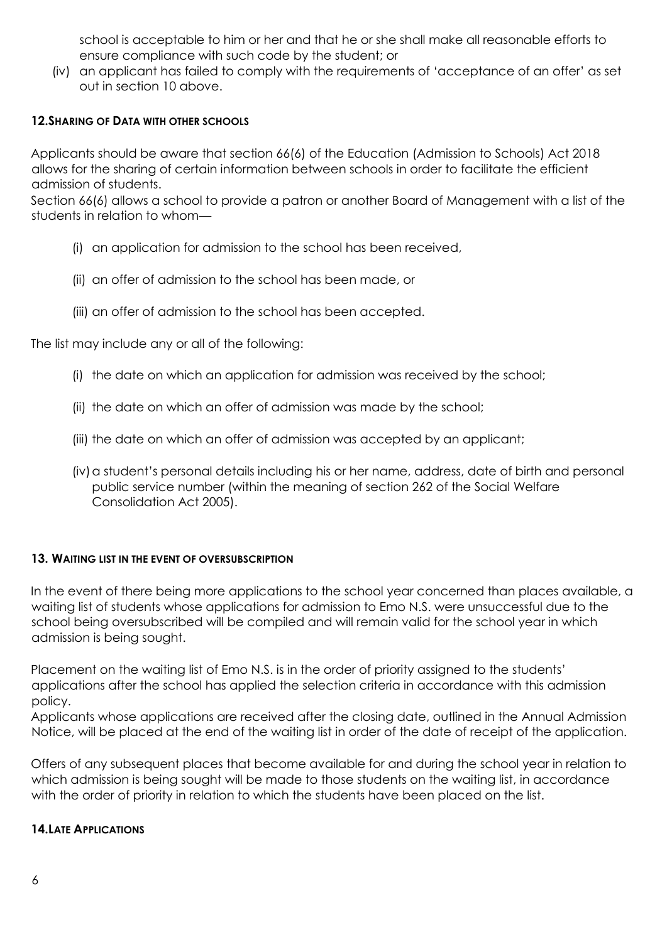school is acceptable to him or her and that he or she shall make all reasonable efforts to ensure compliance with such code by the student; or

(iv) an applicant has failed to comply with the requirements of 'acceptance of an offer' as set out in section 10 above.

### **12.SHARING OF DATA WITH OTHER SCHOOLS**

Applicants should be aware that section 66(6) of the Education (Admission to Schools) Act 2018 allows for the sharing of certain information between schools in order to facilitate the efficient admission of students.

Section 66(6) allows a school to provide a patron or another Board of Management with a list of the students in relation to whom—

- (i) an application for admission to the school has been received,
- (ii) an offer of admission to the school has been made, or
- (iii) an offer of admission to the school has been accepted.

The list may include any or all of the following:

- (i) the date on which an application for admission was received by the school;
- (ii) the date on which an offer of admission was made by the school;
- (iii) the date on which an offer of admission was accepted by an applicant;
- (iv) a student's personal details including his or her name, address, date of birth and personal public service number (within the meaning of section 262 of the Social Welfare Consolidation Act 2005).

### **13. WAITING LIST IN THE EVENT OF OVERSUBSCRIPTION**

In the event of there being more applications to the school year concerned than places available, a waiting list of students whose applications for admission to Emo N.S. were unsuccessful due to the school being oversubscribed will be compiled and will remain valid for the school year in which admission is being sought.

Placement on the waiting list of Emo N.S. is in the order of priority assigned to the students' applications after the school has applied the selection criteria in accordance with this admission policy.

Applicants whose applications are received after the closing date, outlined in the Annual Admission Notice, will be placed at the end of the waiting list in order of the date of receipt of the application.

Offers of any subsequent places that become available for and during the school year in relation to which admission is being sought will be made to those students on the waiting list, in accordance with the order of priority in relation to which the students have been placed on the list.

### **14.LATE APPLICATIONS**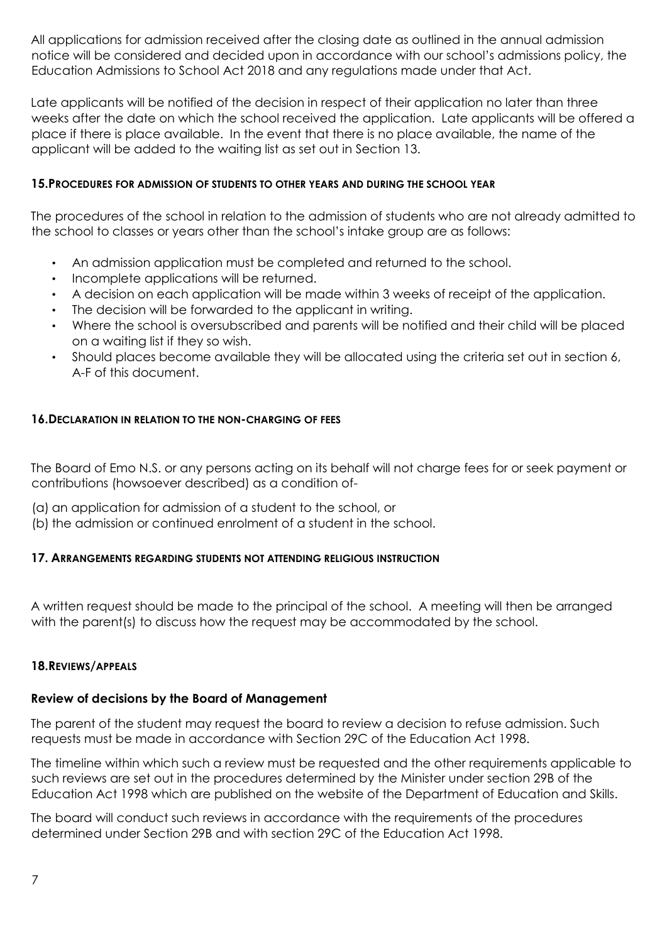All applications for admission received after the closing date as outlined in the annual admission notice will be considered and decided upon in accordance with our school's admissions policy, the Education Admissions to School Act 2018 and any regulations made under that Act.

Late applicants will be notified of the decision in respect of their application no later than three weeks after the date on which the school received the application. Late applicants will be offered a place if there is place available. In the event that there is no place available, the name of the applicant will be added to the waiting list as set out in Section 13.

### **15.PROCEDURES FOR ADMISSION OF STUDENTS TO OTHER YEARS AND DURING THE SCHOOL YEAR**

The procedures of the school in relation to the admission of students who are not already admitted to the school to classes or years other than the school's intake group are as follows:

- An admission application must be completed and returned to the school.
- Incomplete applications will be returned.
- A decision on each application will be made within 3 weeks of receipt of the application.
- The decision will be forwarded to the applicant in writing.
- Where the school is oversubscribed and parents will be notified and their child will be placed on a waiting list if they so wish.
- Should places become available they will be allocated using the criteria set out in section 6, A-F of this document.

### **16.DECLARATION IN RELATION TO THE NON-CHARGING OF FEES**

The Board of Emo N.S. or any persons acting on its behalf will not charge fees for or seek payment or contributions (howsoever described) as a condition of-

- (a) an application for admission of a student to the school, or
- (b) the admission or continued enrolment of a student in the school.

### **17. ARRANGEMENTS REGARDING STUDENTS NOT ATTENDING RELIGIOUS INSTRUCTION**

A written request should be made to the principal of the school. A meeting will then be arranged with the parent(s) to discuss how the request may be accommodated by the school.

### **18.REVIEWS/APPEALS**

### **Review of decisions by the Board of Management**

The parent of the student may request the board to review a decision to refuse admission. Such requests must be made in accordance with Section 29C of the Education Act 1998.

The timeline within which such a review must be requested and the other requirements applicable to such reviews are set out in the procedures determined by the Minister under section 29B of the Education Act 1998 which are published on the website of the Department of Education and Skills.

The board will conduct such reviews in accordance with the requirements of the procedures determined under Section 29B and with section 29C of the Education Act 1998.